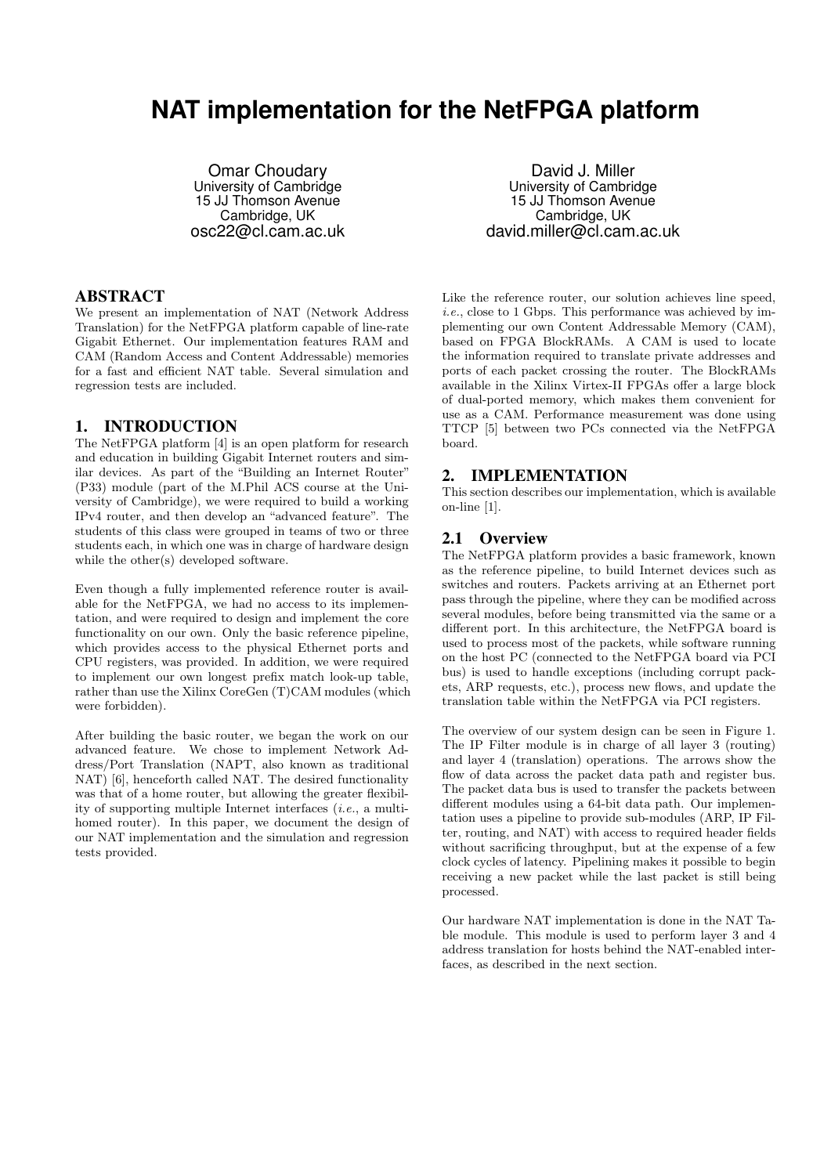# **NAT implementation for the NetFPGA platform**

Omar Choudary University of Cambridge 15 JJ Thomson Avenue Cambridge, UK osc22@cl.cam.ac.uk

# ABSTRACT

We present an implementation of NAT (Network Address Translation) for the NetFPGA platform capable of line-rate Gigabit Ethernet. Our implementation features RAM and CAM (Random Access and Content Addressable) memories for a fast and efficient NAT table. Several simulation and regression tests are included.

#### 1. INTRODUCTION

The NetFPGA platform [4] is an open platform for research and education in building Gigabit Internet routers and similar devices. As part of the "Building an Internet Router" (P33) module (part of the M.Phil ACS course at the University of Cambridge), we were required to build a working IPv4 router, and then develop an "advanced feature". The students of this class were grouped in teams of two or three students each, in which one was in charge of hardware design while the other(s) developed software.

Even though a fully implemented reference router is available for the NetFPGA, we had no access to its implementation, and were required to design and implement the core functionality on our own. Only the basic reference pipeline, which provides access to the physical Ethernet ports and CPU registers, was provided. In addition, we were required to implement our own longest prefix match look-up table, rather than use the Xilinx CoreGen (T)CAM modules (which were forbidden).

After building the basic router, we began the work on our advanced feature. We chose to implement Network Address/Port Translation (NAPT, also known as traditional NAT) [6], henceforth called NAT. The desired functionality was that of a home router, but allowing the greater flexibility of supporting multiple Internet interfaces (i.e., a multihomed router). In this paper, we document the design of our NAT implementation and the simulation and regression tests provided.

David J. Miller University of Cambridge 15 JJ Thomson Avenue Cambridge, UK david.miller@cl.cam.ac.uk

Like the reference router, our solution achieves line speed, i.e., close to 1 Gbps. This performance was achieved by implementing our own Content Addressable Memory (CAM), based on FPGA BlockRAMs. A CAM is used to locate the information required to translate private addresses and ports of each packet crossing the router. The BlockRAMs available in the Xilinx Virtex-II FPGAs offer a large block of dual-ported memory, which makes them convenient for use as a CAM. Performance measurement was done using TTCP [5] between two PCs connected via the NetFPGA board.

#### 2. IMPLEMENTATION

This section describes our implementation, which is available on-line [1].

## 2.1 Overview

The NetFPGA platform provides a basic framework, known as the reference pipeline, to build Internet devices such as switches and routers. Packets arriving at an Ethernet port pass through the pipeline, where they can be modified across several modules, before being transmitted via the same or a different port. In this architecture, the NetFPGA board is used to process most of the packets, while software running on the host PC (connected to the NetFPGA board via PCI bus) is used to handle exceptions (including corrupt packets, ARP requests, etc.), process new flows, and update the translation table within the NetFPGA via PCI registers.

The overview of our system design can be seen in Figure 1. The IP Filter module is in charge of all layer 3 (routing) and layer 4 (translation) operations. The arrows show the flow of data across the packet data path and register bus. The packet data bus is used to transfer the packets between different modules using a 64-bit data path. Our implementation uses a pipeline to provide sub-modules (ARP, IP Filter, routing, and NAT) with access to required header fields without sacrificing throughput, but at the expense of a few clock cycles of latency. Pipelining makes it possible to begin receiving a new packet while the last packet is still being processed.

Our hardware NAT implementation is done in the NAT Table module. This module is used to perform layer 3 and 4 address translation for hosts behind the NAT-enabled interfaces, as described in the next section.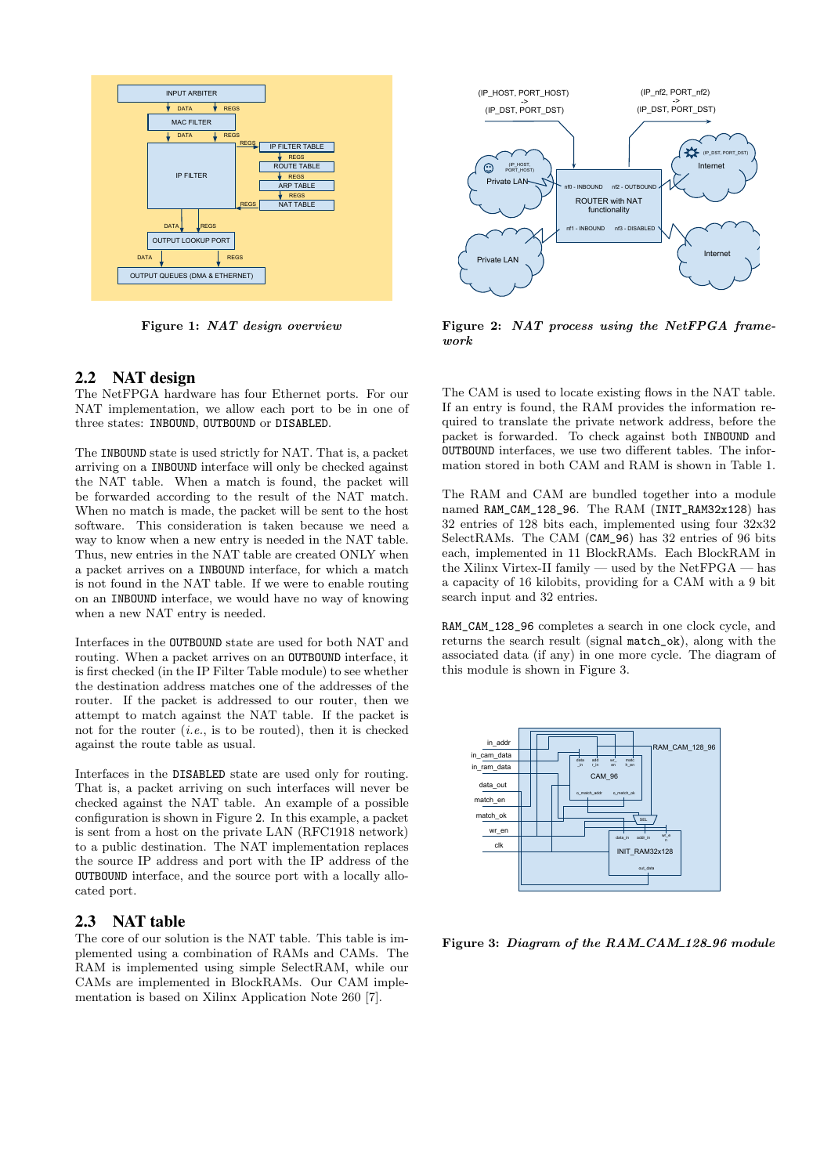

Figure 1: NAT design overview

## 2.2 NAT design

The NetFPGA hardware has four Ethernet ports. For our NAT implementation, we allow each port to be in one of three states: INBOUND, OUTBOUND or DISABLED.

The INBOUND state is used strictly for NAT. That is, a packet arriving on a INBOUND interface will only be checked against the NAT table. When a match is found, the packet will be forwarded according to the result of the NAT match. When no match is made, the packet will be sent to the host software. This consideration is taken because we need a way to know when a new entry is needed in the NAT table. Thus, new entries in the NAT table are created ONLY when a packet arrives on a INBOUND interface, for which a match is not found in the NAT table. If we were to enable routing on an INBOUND interface, we would have no way of knowing when a new NAT entry is needed.

Interfaces in the OUTBOUND state are used for both NAT and routing. When a packet arrives on an OUTBOUND interface, it is first checked (in the IP Filter Table module) to see whether the destination address matches one of the addresses of the router. If the packet is addressed to our router, then we attempt to match against the NAT table. If the packet is not for the router  $(i.e.,$  is to be routed), then it is checked against the route table as usual.

Interfaces in the DISABLED state are used only for routing. That is, a packet arriving on such interfaces will never be checked against the NAT table. An example of a possible configuration is shown in Figure 2. In this example, a packet is sent from a host on the private LAN (RFC1918 network) to a public destination. The NAT implementation replaces the source IP address and port with the IP address of the OUTBOUND interface, and the source port with a locally allocated port.

#### 2.3 NAT table

The core of our solution is the NAT table. This table is implemented using a combination of RAMs and CAMs. The RAM is implemented using simple SelectRAM, while our CAMs are implemented in BlockRAMs. Our CAM implementation is based on Xilinx Application Note 260 [7].



Figure 2: NAT process using the NetFPGA framework

The CAM is used to locate existing flows in the NAT table. If an entry is found, the RAM provides the information required to translate the private network address, before the packet is forwarded. To check against both INBOUND and OUTBOUND interfaces, we use two different tables. The information stored in both CAM and RAM is shown in Table 1.

The RAM and CAM are bundled together into a module named RAM\_CAM\_128\_96. The RAM (INIT\_RAM32x128) has 32 entries of 128 bits each, implemented using four 32x32 SelectRAMs. The CAM (CAM\_96) has 32 entries of 96 bits each, implemented in 11 BlockRAMs. Each BlockRAM in the Xilinx Virtex-II family — used by the NetFPGA — has a capacity of 16 kilobits, providing for a CAM with a 9 bit search input and 32 entries.

RAM\_CAM\_128\_96 completes a search in one clock cycle, and returns the search result (signal match\_ok), along with the associated data (if any) in one more cycle. The diagram of this module is shown in Figure 3.



Figure 3: Diagram of the RAM\_CAM\_128\_96 module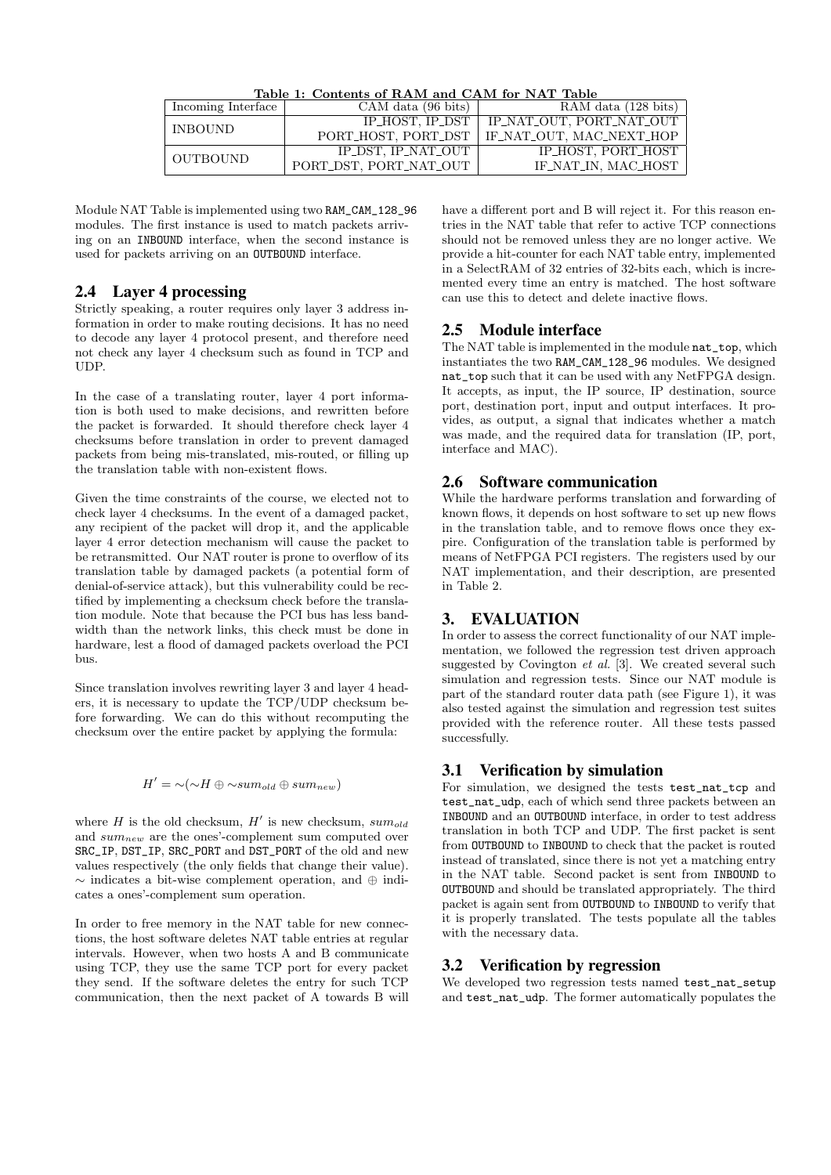| Incoming Interface | $CAM \text{ data } (96 \text{ bits})$ | RAM data $(128 \text{ bits})$                  |  |  |
|--------------------|---------------------------------------|------------------------------------------------|--|--|
| <b>INBOUND</b>     | IP_HOST, IP_DST                       | IP_NAT_OUT, PORT_NAT_OUT                       |  |  |
|                    |                                       | PORT_HOST, PORT_DST   IF_NAT_OUT, MAC_NEXT_HOP |  |  |
| <b>OUTBOUND</b>    | IP_DST, IP_NAT_OUT                    | IP_HOST, PORT_HOST                             |  |  |
|                    | PORT_DST, PORT_NAT_OUT                | IF_NAT_IN. MAC_HOST                            |  |  |

Table 1: Contents of RAM and CAM for NAT Table

Module NAT Table is implemented using two RAM\_CAM\_128\_96 modules. The first instance is used to match packets arriving on an INBOUND interface, when the second instance is used for packets arriving on an OUTBOUND interface.

## 2.4 Layer 4 processing

Strictly speaking, a router requires only layer 3 address information in order to make routing decisions. It has no need to decode any layer 4 protocol present, and therefore need not check any layer 4 checksum such as found in TCP and UDP.

In the case of a translating router, layer 4 port information is both used to make decisions, and rewritten before the packet is forwarded. It should therefore check layer 4 checksums before translation in order to prevent damaged packets from being mis-translated, mis-routed, or filling up the translation table with non-existent flows.

Given the time constraints of the course, we elected not to check layer 4 checksums. In the event of a damaged packet, any recipient of the packet will drop it, and the applicable layer 4 error detection mechanism will cause the packet to be retransmitted. Our NAT router is prone to overflow of its translation table by damaged packets (a potential form of denial-of-service attack), but this vulnerability could be rectified by implementing a checksum check before the translation module. Note that because the PCI bus has less bandwidth than the network links, this check must be done in hardware, lest a flood of damaged packets overload the PCI bus.

Since translation involves rewriting layer 3 and layer 4 headers, it is necessary to update the TCP/UDP checksum before forwarding. We can do this without recomputing the checksum over the entire packet by applying the formula:

## $H' = \sim (\sim H \oplus \sim sum_{old} \oplus sum_{new})$

where H is the old checksum,  $H'$  is new checksum,  $sum_{old}$ and  $sum_{new}$  are the ones'-complement sum computed over SRC\_IP, DST\_IP, SRC\_PORT and DST\_PORT of the old and new values respectively (the only fields that change their value). ∼ indicates a bit-wise complement operation, and ⊕ indicates a ones'-complement sum operation.

In order to free memory in the NAT table for new connections, the host software deletes NAT table entries at regular intervals. However, when two hosts A and B communicate using TCP, they use the same TCP port for every packet they send. If the software deletes the entry for such TCP communication, then the next packet of A towards B will

have a different port and B will reject it. For this reason entries in the NAT table that refer to active TCP connections should not be removed unless they are no longer active. We provide a hit-counter for each NAT table entry, implemented in a SelectRAM of 32 entries of 32-bits each, which is incremented every time an entry is matched. The host software can use this to detect and delete inactive flows.

## 2.5 Module interface

The NAT table is implemented in the module nat\_top, which instantiates the two RAM\_CAM\_128\_96 modules. We designed nat top such that it can be used with any NetFPGA design. It accepts, as input, the IP source, IP destination, source port, destination port, input and output interfaces. It provides, as output, a signal that indicates whether a match was made, and the required data for translation (IP, port, interface and MAC).

## 2.6 Software communication

While the hardware performs translation and forwarding of known flows, it depends on host software to set up new flows in the translation table, and to remove flows once they expire. Configuration of the translation table is performed by means of NetFPGA PCI registers. The registers used by our NAT implementation, and their description, are presented in Table 2.

## 3. EVALUATION

In order to assess the correct functionality of our NAT implementation, we followed the regression test driven approach suggested by Covington et al. [3]. We created several such simulation and regression tests. Since our NAT module is part of the standard router data path (see Figure 1), it was also tested against the simulation and regression test suites provided with the reference router. All these tests passed successfully.

# 3.1 Verification by simulation

For simulation, we designed the tests test\_nat\_tcp and test\_nat\_udp, each of which send three packets between an INBOUND and an OUTBOUND interface, in order to test address translation in both TCP and UDP. The first packet is sent from OUTBOUND to INBOUND to check that the packet is routed instead of translated, since there is not yet a matching entry in the NAT table. Second packet is sent from INBOUND to OUTBOUND and should be translated appropriately. The third packet is again sent from OUTBOUND to INBOUND to verify that it is properly translated. The tests populate all the tables with the necessary data.

# 3.2 Verification by regression

We developed two regression tests named test\_nat\_setup and test\_nat\_udp. The former automatically populates the